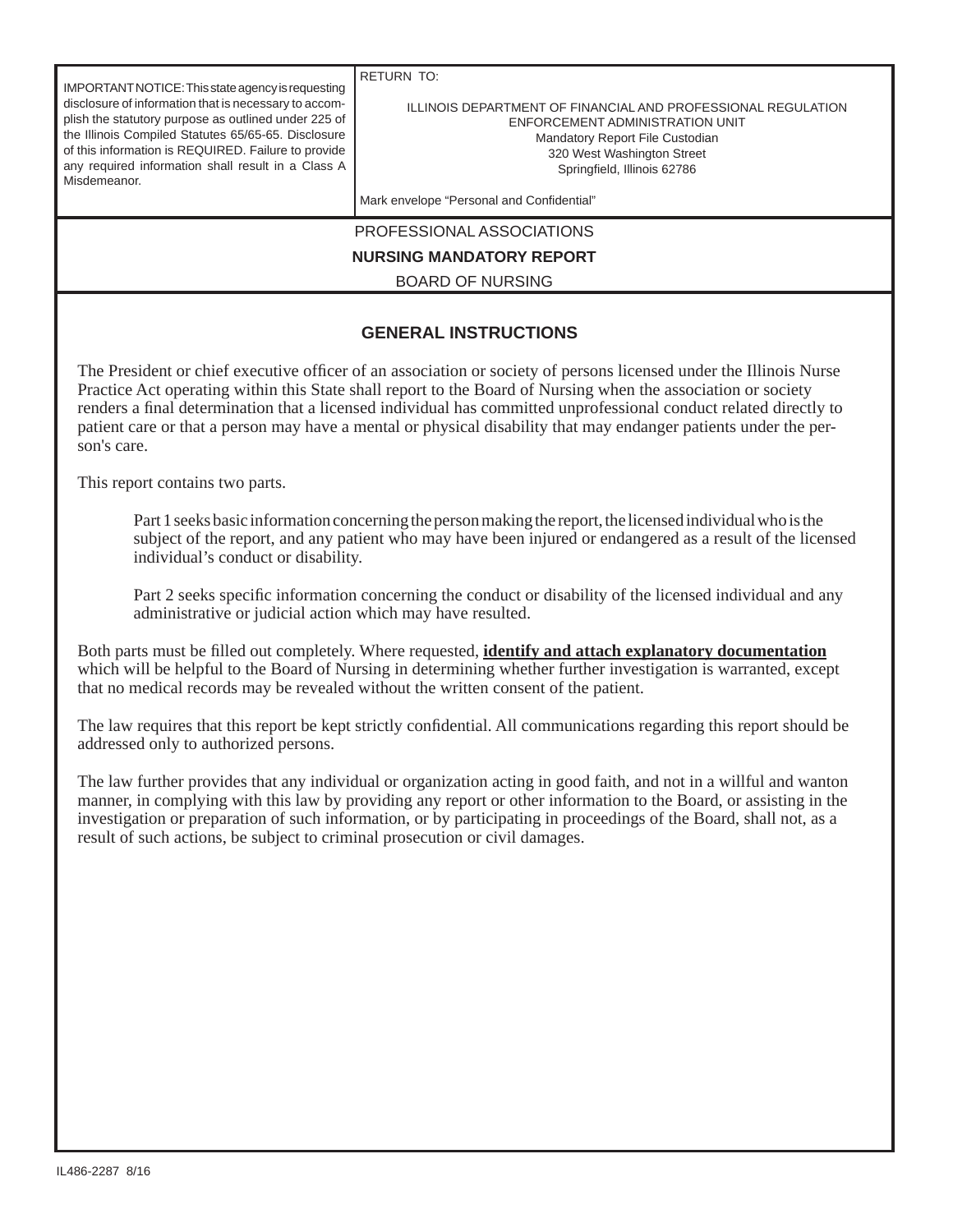RETURN TO: ILLINOIS DEPARTMENT OF FINANCIAL AND PROFESSIONAL REGULATION ENFORCEMENT ADMINISTRATION UNIT Mandatory Report File Custodian 320 West Washington Street Springfield, Illinois 62786 Mark envelope "Personal and Confidential" PROFESSIONAL ASSOCIATIONS **NURSING MANDATORY REPORT** BOARD OF NURSING **GENERAL INSTRUCTIONS** The President or chief executive officer of an association or society of persons licensed under the Illinois Nurse Practice Act operating within this State shall report to the Board of Nursing when the association or society renders a final determination that a licensed individual has committed unprofessional conduct related directly to patient care or that a person may have a mental or physical disability that may endanger patients under the person's care. IMPORTANT NOTICE: This state agency is requesting disclosure of information that is necessary to accomplish the statutory purpose as outlined under 225 of the Illinois Compiled Statutes 65/65-65. Disclosure of this information is REQUIRED. Failure to provide any required information shall result in a Class A Misdemeanor.

This report contains two parts.

 Part 1 seeks basic information concerning the person making the report, the licensed individual who is the subject of the report, and any patient who may have been injured or endangered as a result of the licensed individual's conduct or disability.

Part 2 seeks specific information concerning the conduct or disability of the licensed individual and any administrative or judicial action which may have resulted.

Both parts must be filled out completely. Where requested, **identify and attach explanatory documentation** which will be helpful to the Board of Nursing in determining whether further investigation is warranted, except that no medical records may be revealed without the written consent of the patient.

The law requires that this report be kept strictly confidential. All communications regarding this report should be addressed only to authorized persons.

The law further provides that any individual or organization acting in good faith, and not in a willful and wanton manner, in complying with this law by providing any report or other information to the Board, or assisting in the investigation or preparation of such information, or by participating in proceedings of the Board, shall not, as a result of such actions, be subject to criminal prosecution or civil damages.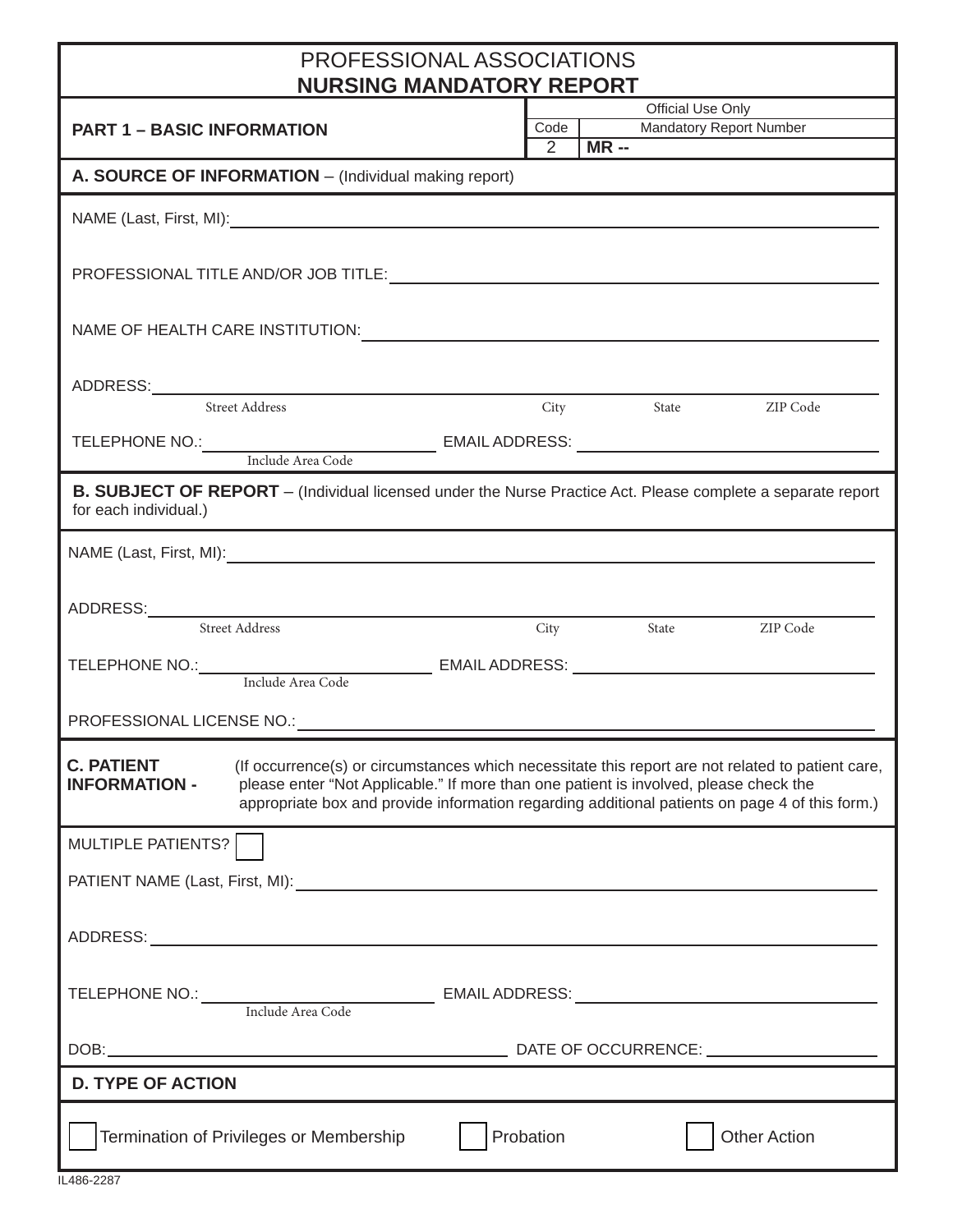## PROFESSIONAL ASSOCIATIONS **NURSING MANDATORY REPORT**

| <b>NURSING MANDATORY REPORT</b>                                                                                                                                                                                                                                                                                                        |                   |                                                       |  |  |  |  |
|----------------------------------------------------------------------------------------------------------------------------------------------------------------------------------------------------------------------------------------------------------------------------------------------------------------------------------------|-------------------|-------------------------------------------------------|--|--|--|--|
|                                                                                                                                                                                                                                                                                                                                        | Official Use Only |                                                       |  |  |  |  |
| <b>PART 1 - BASIC INFORMATION</b>                                                                                                                                                                                                                                                                                                      |                   | <b>Mandatory Report Number</b><br>Code  <br>$2$ MR -- |  |  |  |  |
| A. SOURCE OF INFORMATION - (Individual making report)                                                                                                                                                                                                                                                                                  |                   |                                                       |  |  |  |  |
|                                                                                                                                                                                                                                                                                                                                        |                   |                                                       |  |  |  |  |
|                                                                                                                                                                                                                                                                                                                                        |                   |                                                       |  |  |  |  |
| NAME OF HEALTH CARE INSTITUTION: NAME OF HEALTH CARE INSTITUTION:                                                                                                                                                                                                                                                                      |                   |                                                       |  |  |  |  |
| <b>Street Address</b>                                                                                                                                                                                                                                                                                                                  |                   | City State ZIP Code                                   |  |  |  |  |
|                                                                                                                                                                                                                                                                                                                                        |                   |                                                       |  |  |  |  |
| B. SUBJECT OF REPORT - (Individual licensed under the Nurse Practice Act. Please complete a separate report<br>for each individual.)                                                                                                                                                                                                   |                   |                                                       |  |  |  |  |
|                                                                                                                                                                                                                                                                                                                                        |                   |                                                       |  |  |  |  |
| ADDRESS: Street Address City                                                                                                                                                                                                                                                                                                           |                   | City State ZIP Code                                   |  |  |  |  |
|                                                                                                                                                                                                                                                                                                                                        |                   |                                                       |  |  |  |  |
|                                                                                                                                                                                                                                                                                                                                        |                   |                                                       |  |  |  |  |
|                                                                                                                                                                                                                                                                                                                                        |                   |                                                       |  |  |  |  |
| <b>C. PATIENT</b> (If occurrence(s) or circumstances which necessitate this report are not related to patient care,<br>please enter "Not Applicable." If more than one patient is involved, please check the<br><b>INFORMATION -</b><br>appropriate box and provide information regarding additional patients on page 4 of this form.) |                   |                                                       |  |  |  |  |
| MULTIPLE PATIENTS?                                                                                                                                                                                                                                                                                                                     |                   |                                                       |  |  |  |  |
|                                                                                                                                                                                                                                                                                                                                        |                   |                                                       |  |  |  |  |
|                                                                                                                                                                                                                                                                                                                                        |                   |                                                       |  |  |  |  |
| TELEPHONE NO.: Include Area Code EMAIL ADDRESS: _________________________________                                                                                                                                                                                                                                                      |                   |                                                       |  |  |  |  |
|                                                                                                                                                                                                                                                                                                                                        |                   |                                                       |  |  |  |  |
| <b>D. TYPE OF ACTION</b>                                                                                                                                                                                                                                                                                                               |                   |                                                       |  |  |  |  |
| Termination of Privileges or Membership                                                                                                                                                                                                                                                                                                | Probation         | <b>Other Action</b>                                   |  |  |  |  |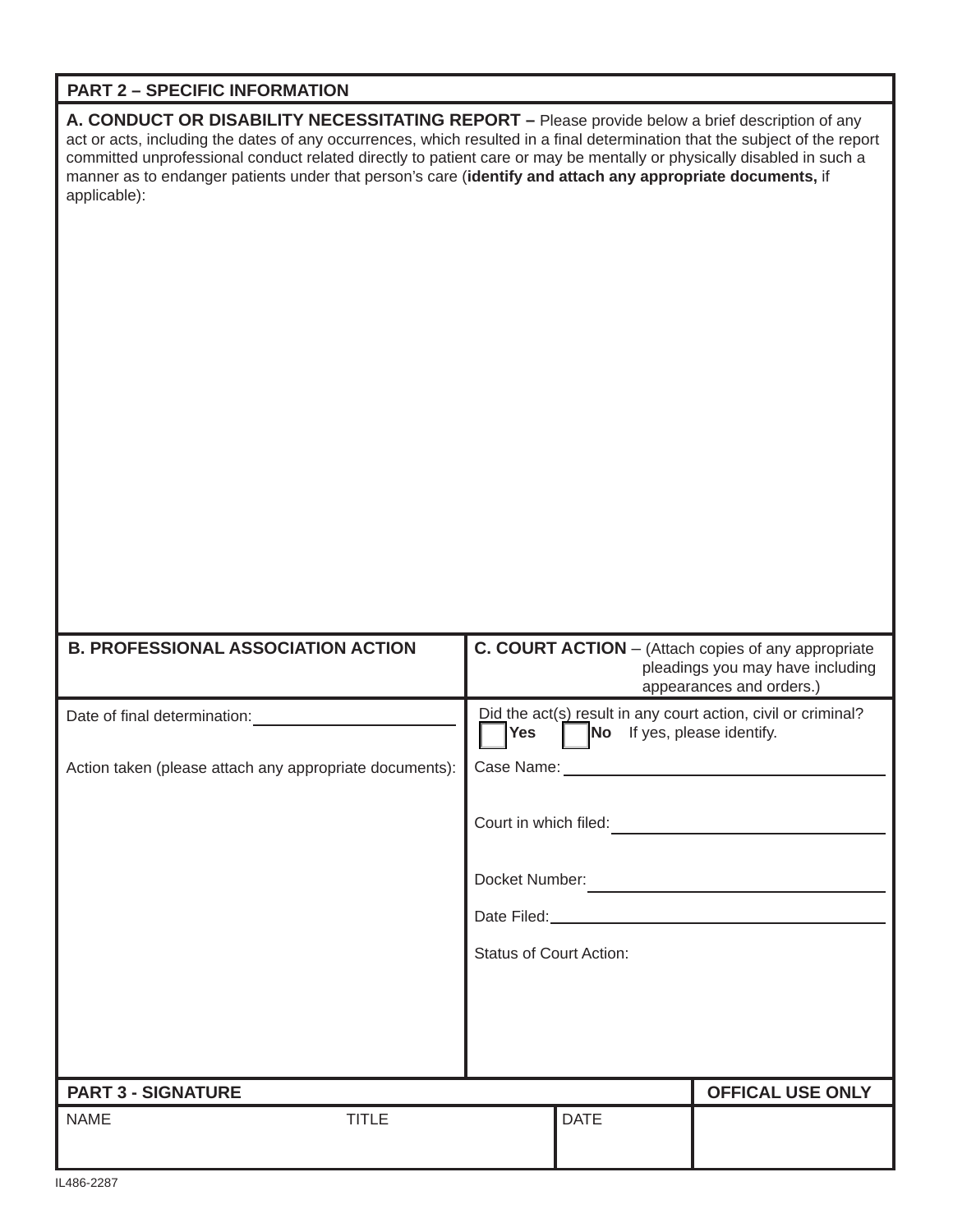## **PART 2 – SPECIFIC INFORMATION**

**A. CONDUCT OR DISABILITY NECESSITATING REPORT –** Please provide below a brief description of any act or acts, including the dates of any occurrences, which resulted in a final determination that the subject of the report committed unprofessional conduct related directly to patient care or may be mentally or physically disabled in such a manner as to endanger patients under that person's care (**identify and attach any appropriate documents,** if applicable):

| <b>B. PROFESSIONAL ASSOCIATION ACTION</b>               | C. COURT ACTION - (Attach copies of any appropriate<br>pleadings you may have including<br>appearances and orders.)            |  |  |  |  |
|---------------------------------------------------------|--------------------------------------------------------------------------------------------------------------------------------|--|--|--|--|
| Date of final determination:                            | Did the act(s) result in any court action, civil or criminal?<br>$\blacksquare$ Yes $\blacksquare$ No If yes, please identify. |  |  |  |  |
| Action taken (please attach any appropriate documents): |                                                                                                                                |  |  |  |  |
|                                                         | Court in which filed:                                                                                                          |  |  |  |  |
|                                                         | Docket Number:                                                                                                                 |  |  |  |  |
|                                                         |                                                                                                                                |  |  |  |  |
|                                                         | <b>Status of Court Action:</b>                                                                                                 |  |  |  |  |
|                                                         |                                                                                                                                |  |  |  |  |
|                                                         |                                                                                                                                |  |  |  |  |
| <b>PART 3 - SIGNATURE</b>                               | <b>OFFICAL USE ONLY</b>                                                                                                        |  |  |  |  |
| <b>TITLE</b><br><b>NAME</b>                             | <b>DATE</b>                                                                                                                    |  |  |  |  |
| <b>II 196 2297</b>                                      |                                                                                                                                |  |  |  |  |